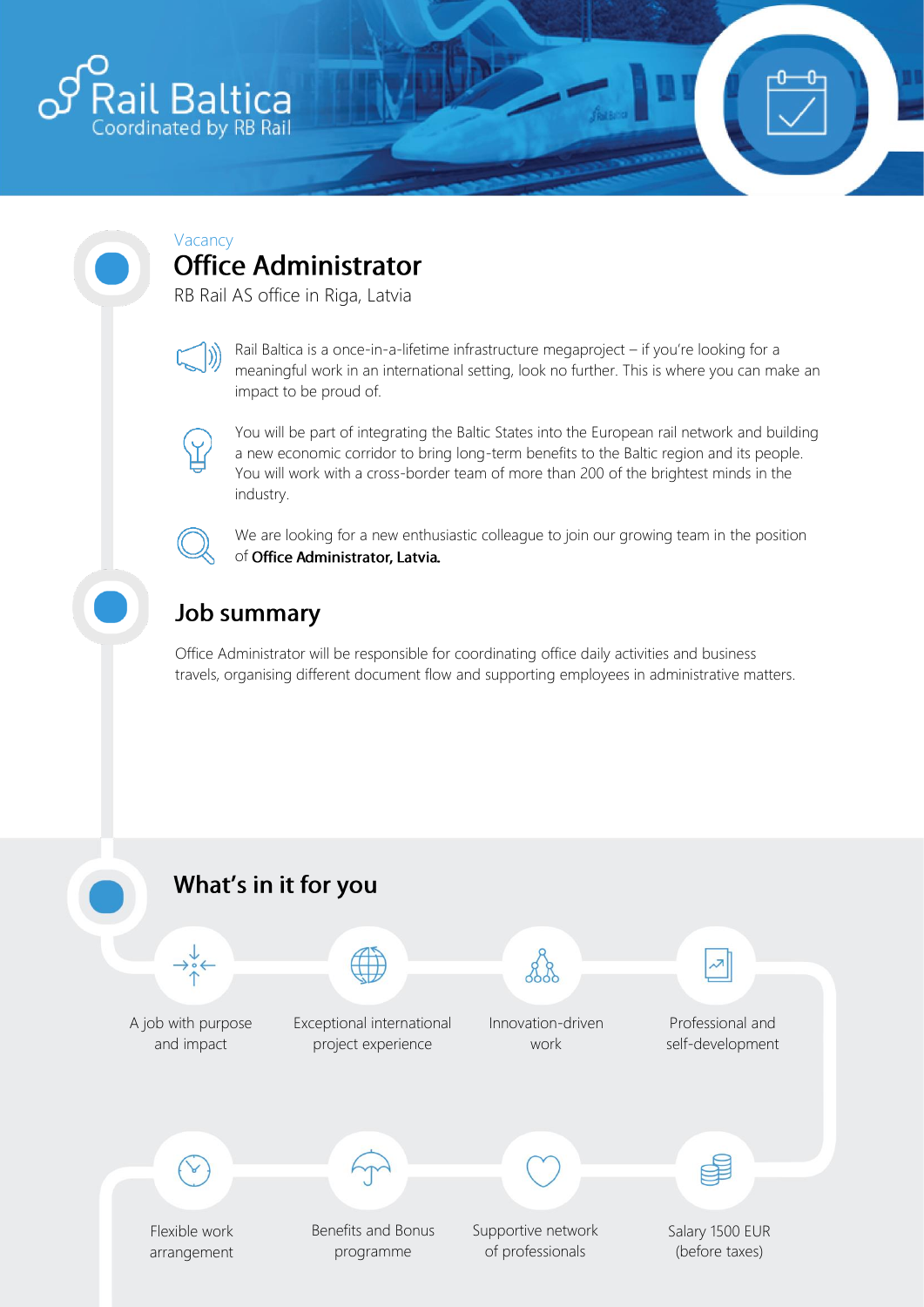

## Vacancy **Office Administrator**

RB Rail AS office in Riga, Latvia



Rail Baltica is a once-in-a-lifetime infrastructure megaproject – if you're looking for a meaningful work in an international setting, look no further. This is where you can make an impact to be proud of.



You will be part of integrating the Baltic States into the European rail network and building a new economic corridor to bring long-term benefits to the Baltic region and its people. You will work with a cross-border team of more than 200 of the brightest minds in the industry.

We are looking for a new enthusiastic colleague to join our growing team in the position of Office Administrator, Latvia.

## **Job summary**

Office Administrator will be responsible for coordinating office daily activities and business travels, organising different document flow and supporting employees in administrative matters.